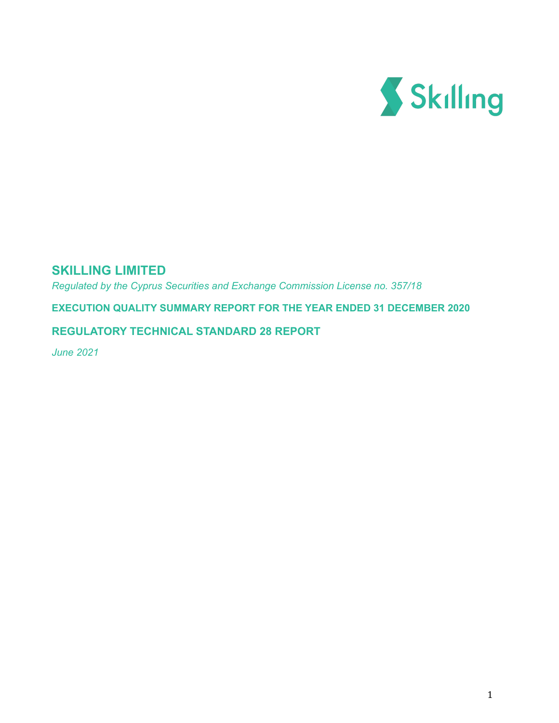

# **SKILLING LIMITED**

*Regulated by the Cyprus Securities and Exchange Commission License no. 357/18*

**EXECUTION QUALITY SUMMARY REPORT FOR THE YEAR ENDED 31 DECEMBER 2020**

### **REGULATORY TECHNICAL STANDARD 28 REPORT**

*June 2021*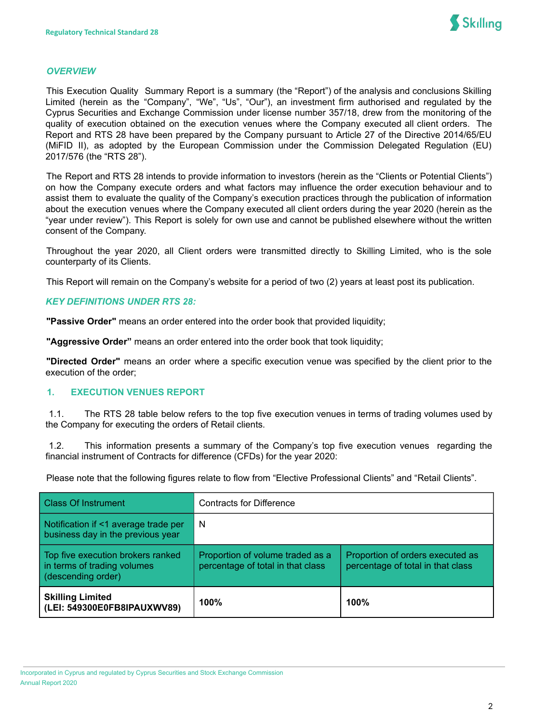

#### *OVERVIEW*

This Execution Quality Summary Report is a summary (the "Report") of the analysis and conclusions Skilling Limited (herein as the "Company", "We", "Us", "Our"), an investment firm authorised and regulated by the Cyprus Securities and Exchange Commission under license number 357/18, drew from the monitoring of the quality of execution obtained on the execution venues where the Company executed all client orders. The Report and RTS 28 have been prepared by the Company pursuant to Article 27 of the Directive 2014/65/EU (MiFID II), as adopted by the European Commission under the Commission Delegated Regulation (EU) 2017/576 (the "RTS 28").

The Report and RTS 28 intends to provide information to investors (herein as the "Clients or Potential Clients") on how the Company execute orders and what factors may influence the order execution behaviour and to assist them to evaluate the quality of the Company's execution practices through the publication of information about the execution venues where the Company executed all client orders during the year 2020 (herein as the "year under review"). This Report is solely for own use and cannot be published elsewhere without the written consent of the Company.

Throughout the year 2020, all Client orders were transmitted directly to Skilling Limited, who is the sole counterparty of its Clients.

This Report will remain on the Company's website for a period of two (2) years at least post its publication.

### *KEY DEFINITIONS UNDER RTS 28:*

**"Passive Order"** means an order entered into the order book that provided liquidity;

**"Aggressive Order"** means an order entered into the order book that took liquidity;

**"Directed Order"** means an order where a specific execution venue was specified by the client prior to the execution of the order;

### **1. EXECUTION VENUES REPORT**

1.1. The RTS 28 table below refers to the top five execution venues in terms of trading volumes used by the Company for executing the orders of Retail clients.

1.2. This information presents a summary of the Company's top five execution venues regarding the financial instrument of Contracts for difference (CFDs) for the year 2020:

Please note that the following figures relate to flow from "Elective Professional Clients" and "Retail Clients".

| <b>Class Of Instrument</b>                                                             | <b>Contracts for Difference</b>                                       |                                                                       |
|----------------------------------------------------------------------------------------|-----------------------------------------------------------------------|-----------------------------------------------------------------------|
| Notification if <1 average trade per<br>business day in the previous year              | N                                                                     |                                                                       |
| Top five execution brokers ranked<br>in terms of trading volumes<br>(descending order) | Proportion of volume traded as a<br>percentage of total in that class | Proportion of orders executed as<br>percentage of total in that class |
| <b>Skilling Limited</b><br>(LEI: 549300E0FB8IPAUXWV89)                                 | 100%                                                                  | 100%                                                                  |

Incorporated in Cyprus and regulated by Cyprus Securities and Stock Exchange Commission Annual Report 2020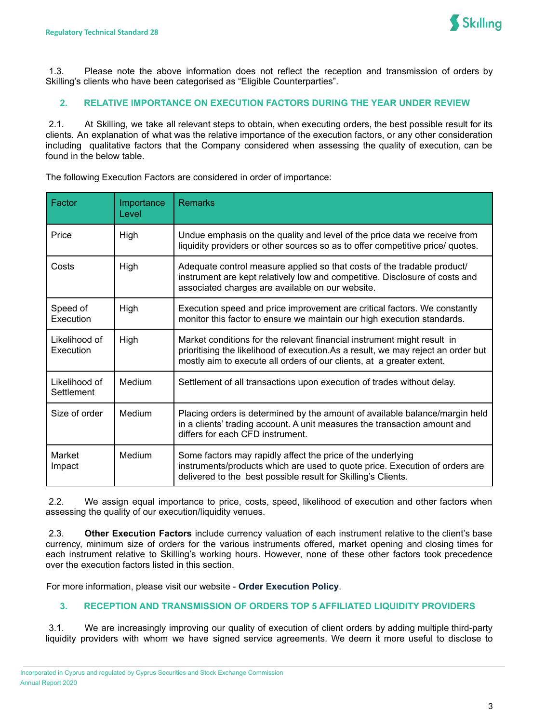

1.3. Please note the above information does not reflect the reception and transmission of orders by Skilling's clients who have been categorised as "Eligible Counterparties".

### **2. RELATIVE IMPORTANCE ON EXECUTION FACTORS DURING THE YEAR UNDER REVIEW**

2.1. At Skilling, we take all relevant steps to obtain, when executing orders, the best possible result for its clients. An explanation of what was the relative importance of the execution factors, or any other consideration including qualitative factors that the Company considered when assessing the quality of execution, can be found in the below table.

| Factor                      | Importance<br>Level | <b>Remarks</b>                                                                                                                                                                                                                        |
|-----------------------------|---------------------|---------------------------------------------------------------------------------------------------------------------------------------------------------------------------------------------------------------------------------------|
| Price                       | High                | Undue emphasis on the quality and level of the price data we receive from<br>liquidity providers or other sources so as to offer competitive price/ quotes.                                                                           |
| Costs                       | High                | Adequate control measure applied so that costs of the tradable product/<br>instrument are kept relatively low and competitive. Disclosure of costs and<br>associated charges are available on our website.                            |
| Speed of<br>Execution       | High                | Execution speed and price improvement are critical factors. We constantly<br>monitor this factor to ensure we maintain our high execution standards.                                                                                  |
| Likelihood of<br>Execution  | High                | Market conditions for the relevant financial instrument might result in<br>prioritising the likelihood of execution. As a result, we may reject an order but<br>mostly aim to execute all orders of our clients, at a greater extent. |
| Likelihood of<br>Settlement | Medium              | Settlement of all transactions upon execution of trades without delay.                                                                                                                                                                |
| Size of order               | Medium              | Placing orders is determined by the amount of available balance/margin held<br>in a clients' trading account. A unit measures the transaction amount and<br>differs for each CFD instrument.                                          |
| Market<br>Impact            | Medium              | Some factors may rapidly affect the price of the underlying<br>instruments/products which are used to quote price. Execution of orders are<br>delivered to the best possible result for Skilling's Clients.                           |

The following Execution Factors are considered in order of importance:

2.2. We assign equal importance to price, costs, speed, likelihood of execution and other factors when assessing the quality of our execution/liquidity venues.

2.3. **Other Execution Factors** include currency valuation of each instrument relative to the client's base currency, minimum size of orders for the various instruments offered, market opening and closing times for each instrument relative to Skilling's working hours. However, none of these other factors took precedence over the execution factors listed in this section.

For more information, please visit our website - **Order [Execution](https://support.skilling.com/hc/en-gb/articles/115004865873-Order-Execution-Policy) Policy**.

### **3. RECEPTION AND TRANSMISSION OF ORDERS TOP 5 AFFILIATED LIQUIDITY PROVIDERS**

3.1. We are increasingly improving our quality of execution of client orders by adding multiple third-party liquidity providers with whom we have signed service agreements. We deem it more useful to disclose to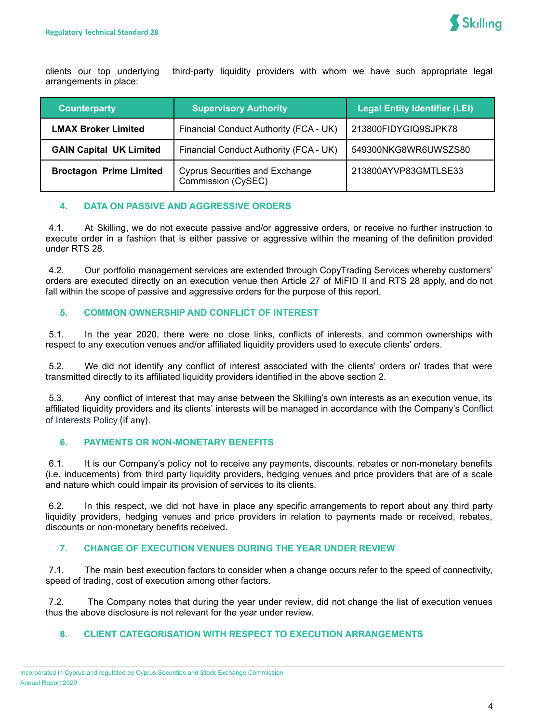clients our top underlying third-party liquidity providers with whom we have such appropriate legal arrangements in place:

| <b>Counterparty</b>            | <b>Supervisory Authority</b>                                | <b>Legal Entity Identifier (LEI)</b> |
|--------------------------------|-------------------------------------------------------------|--------------------------------------|
| <b>LMAX Broker Limited</b>     | Financial Conduct Authority (FCA - UK)                      | 213800FIDYGIQ9SJPK78                 |
| <b>GAIN Capital UK Limited</b> | Financial Conduct Authority (FCA - UK)                      | 549300NKG8WR6UWSZS80                 |
| <b>Broctagon Prime Limited</b> | <b>Cyprus Securities and Exchange</b><br>Commission (CySEC) | 213800AYVP83GMTLSE33                 |

# **4. DATA ON PASSIVE AND AGGRESSIVE ORDERS**

4.1. At Skilling, we do not execute passive and/or aggressive orders, or receive no further instruction to execute order in a fashion that is either passive or aggressive within the meaning of the definition provided under RTS 28.

4.2. Our portfolio management services are extended through CopyTrading Services whereby customers' orders are executed directly on an execution venue then Article 27 of MiFID II and RTS 28 apply, and do not fall within the scope of passive and aggressive orders for the purpose of this report.

### **5. COMMON OWNERSHIP AND CONFLICT OF INTEREST**

5.1. In the year 2020, there were no close links, conflicts of interests, and common ownerships with respect to any execution venues and/or affiliated liquidity providers used to execute clients' orders.

5.2. We did not identify any conflict of interest associated with the clients' orders or/ trades that were transmitted directly to its affiliated liquidity providers identified in the above section 2.

5.3. Any conflict of interest that may arise between the Skilling's own interests as an execution venue, its affiliated liquidity providers and its clients' interests will be managed in accordance with the Company's [Conflict](https://support.skilling.com/hc/en-gb/sections/115001000253-Legal-documents?_ga=2.55299691.1977504439.1558441060-1803061687.1518185038) of [Interests](https://support.skilling.com/hc/en-gb/sections/115001000253-Legal-documents?_ga=2.55299691.1977504439.1558441060-1803061687.1518185038) Policy (if any)[.](https://support.skilling.com/hc/en-gb/sections/115001000253-Legal-documents?_ga=2.54187752.1977504439.1558441060-1803061687.1518185038)

### **6. PAYMENTS OR NON-MONETARY BENEFITS**

6.1. It is our Company's policy not to receive any payments, discounts, rebates or non-monetary benefits (i.e. inducements) from third party liquidity providers, hedging venues and price providers that are of a scale and nature which could impair its provision of services to its clients.

6.2. In this respect, we did not have in place any specific arrangements to report about any third party liquidity providers, hedging venues and price providers in relation to payments made or received, rebates, discounts or non-monetary benefits received.

# **7. CHANGE OF EXECUTION VENUES DURING THE YEAR UNDER REVIEW**

7.1. The main best execution factors to consider when a change occurs refer to the speed of connectivity, speed of trading, cost of execution among other factors.

7.2. The Company notes that during the year under review, did not change the list of execution venues thus the above disclosure is not relevant for the year under review.

# **8. CLIENT CATEGORISATION WITH RESPECT TO EXECUTION ARRANGEMENTS**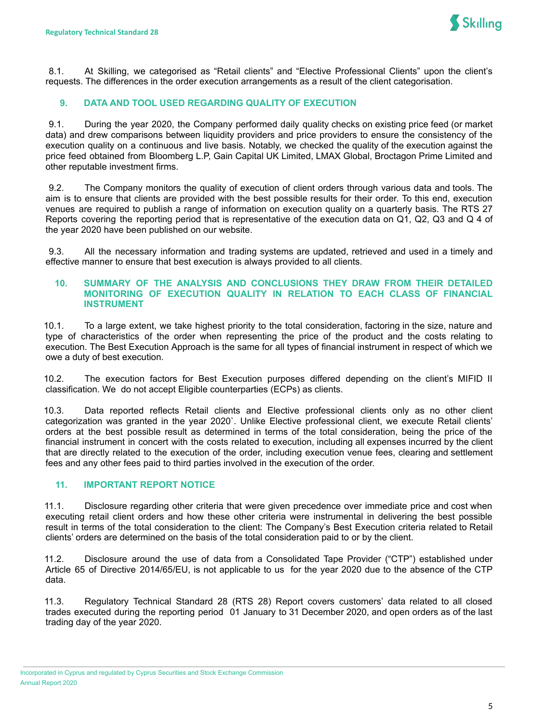

8.1. At Skilling, we categorised as "Retail clients" and "Elective Professional Clients" upon the client's requests. The differences in the order execution arrangements as a result of the client categorisation.

### **9. DATA AND TOOL USED REGARDING QUALITY OF EXECUTION**

9.1. During the year 2020, the Company performed daily quality checks on existing price feed (or market data) and drew comparisons between liquidity providers and price providers to ensure the consistency of the execution quality on a continuous and live basis. Notably, we checked the quality of the execution against the price feed obtained from Bloomberg L.P, Gain Capital UK Limited, LMAX Global, Broctagon Prime Limited and other reputable investment firms.

9.2. The Company monitors the quality of execution of client orders through various data and tools. The aim is to ensure that clients are provided with the best possible results for their order. To this end, execution venues are required to publish a range of information on execution quality on a quarterly basis. The RTS 27 Reports covering the reporting period that is representative of the execution data on Q1, Q2, Q3 and Q 4 of the year 2020 have been published on our website.

9.3. All the necessary information and trading systems are updated, retrieved and used in a timely and effective manner to ensure that best execution is always provided to all clients.

#### **10. SUMMARY OF THE ANALYSIS AND CONCLUSIONS THEY DRAW FROM THEIR DETAILED MONITORING OF EXECUTION QUALITY IN RELATION TO EACH CLASS OF FINANCIAL INSTRUMENT**

10.1. To a large extent, we take highest priority to the total consideration, factoring in the size, nature and type of characteristics of the order when representing the price of the product and the costs relating to execution. The Best Execution Approach is the same for all types of financial instrument in respect of which we owe a duty of best execution.

10.2. The execution factors for Best Execution purposes differed depending on the client's MIFID II classification. We do not accept Eligible counterparties (ECPs) as clients.

10.3. Data reported reflects Retail clients and Elective professional clients only as no other client categorization was granted in the year 2020`. Unlike Elective professional client, we execute Retail clients' orders at the best possible result as determined in terms of the total consideration, being the price of the financial instrument in concert with the costs related to execution, including all expenses incurred by the client that are directly related to the execution of the order, including execution venue fees, clearing and settlement fees and any other fees paid to third parties involved in the execution of the order.

### **11. IMPORTANT REPORT NOTICE**

11.1. Disclosure regarding other criteria that were given precedence over immediate price and cost when executing retail client orders and how these other criteria were instrumental in delivering the best possible result in terms of the total consideration to the client: The Company's Best Execution criteria related to Retail clients' orders are determined on the basis of the total consideration paid to or by the client.

11.2. Disclosure around the use of data from a Consolidated Tape Provider ("CTP") established under Article 65 of Directive 2014/65/EU, is not applicable to us for the year 2020 due to the absence of the CTP data.

11.3. Regulatory Technical Standard 28 (RTS 28) Report covers customers' data related to all closed trades executed during the reporting period 01 January to 31 December 2020, and open orders as of the last trading day of the year 2020.

Incorporated in Cyprus and regulated by Cyprus Securities and Stock Exchange Commission Annual Report 2020